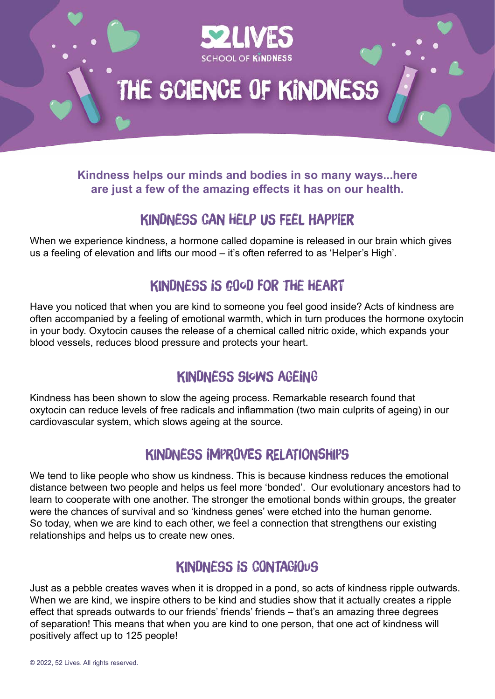

### **Kindness helps our minds and bodies in so many ways...here are just a few of the amazing effects it has on our health.**

# Kindness can help us feel happier

When we experience kindness, a hormone called dopamine is released in our brain which gives us a feeling of elevation and lifts our mood – it's often referred to as 'Helper's High'.

# Kindness is good for the heart

Have you noticed that when you are kind to someone you feel good inside? Acts of kindness are often accompanied by a feeling of emotional warmth, which in turn produces the hormone oxytocin in your body. Oxytocin causes the release of a chemical called nitric oxide, which expands your blood vessels, reduces blood pressure and protects your heart.

# Kindness slows ageing

Kindness has been shown to slow the ageing process. Remarkable research found that oxytocin can reduce levels of free radicals and inflammation (two main culprits of ageing) in our cardiovascular system, which slows ageing at the source.

# Kindness improves relationships

We tend to like people who show us kindness. This is because kindness reduces the emotional distance between two people and helps us feel more 'bonded'. Our evolutionary ancestors had to learn to cooperate with one another. The stronger the emotional bonds within groups, the greater were the chances of survival and so 'kindness genes' were etched into the human genome. So today, when we are kind to each other, we feel a connection that strengthens our existing relationships and helps us to create new ones.

# Kindness is contagious

Just as a pebble creates waves when it is dropped in a pond, so acts of kindness ripple outwards. When we are kind, we inspire others to be kind and studies show that it actually creates a ripple effect that spreads outwards to our friends' friends' friends – that's an amazing three degrees of separation! This means that when you are kind to one person, that one act of kindness will positively affect up to 125 people!